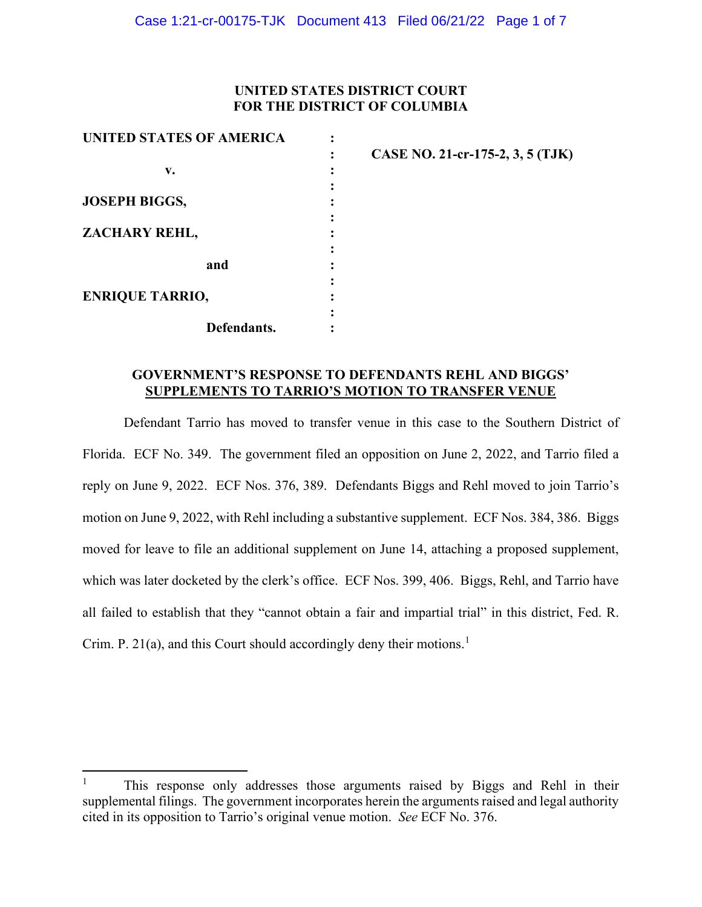# **UNITED STATES DISTRICT COURT FOR THE DISTRICT OF COLUMBIA**

**3, 5 (TJK)** 

| CASE NO. 21-cr-175-2, |
|-----------------------|
|                       |
|                       |
|                       |
|                       |
|                       |
|                       |
|                       |
|                       |
|                       |
|                       |
|                       |
|                       |

# **GOVERNMENT'S RESPONSE TO DEFENDANTS REHL AND BIGGS' SUPPLEMENTS TO TARRIO'S MOTION TO TRANSFER VENUE**

Defendant Tarrio has moved to transfer venue in this case to the Southern District of Florida. ECF No. 349. The government filed an opposition on June 2, 2022, and Tarrio filed a reply on June 9, 2022. ECF Nos. 376, 389. Defendants Biggs and Rehl moved to join Tarrio's motion on June 9, 2022, with Rehl including a substantive supplement. ECF Nos. 384, 386. Biggs moved for leave to file an additional supplement on June 14, attaching a proposed supplement, which was later docketed by the clerk's office. ECF Nos. 399, 406. Biggs, Rehl, and Tarrio have all failed to establish that they "cannot obtain a fair and impartial trial" in this district, Fed. R. Crim. P. 2[1](#page-0-0)(a), and this Court should accordingly deny their motions.<sup>1</sup>

<span id="page-0-0"></span><sup>1</sup> This response only addresses those arguments raised by Biggs and Rehl in their supplemental filings. The government incorporates herein the arguments raised and legal authority cited in its opposition to Tarrio's original venue motion. *See* ECF No. 376.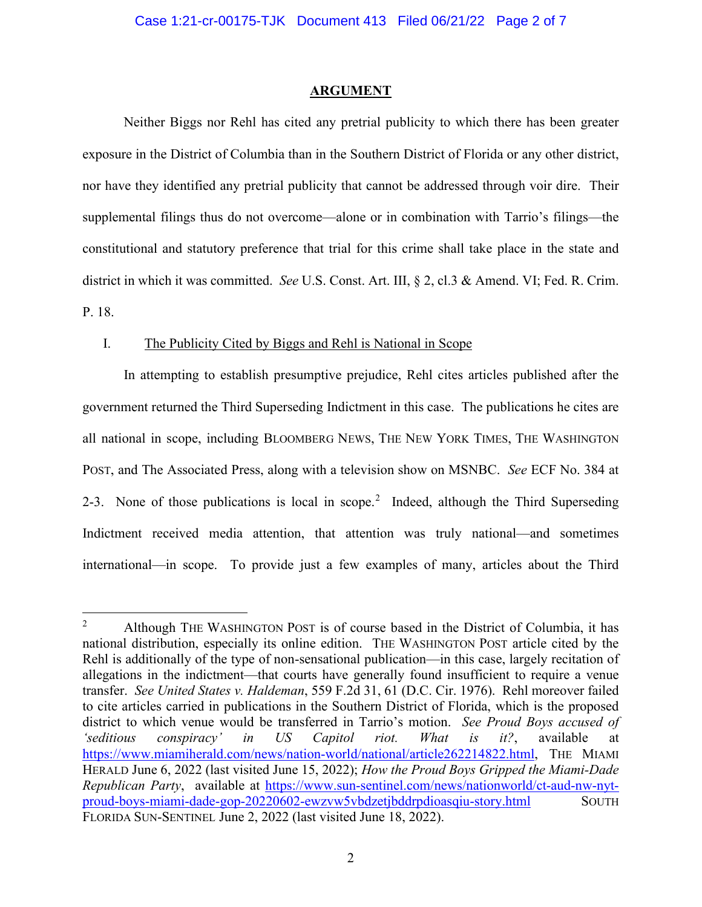#### **ARGUMENT**

Neither Biggs nor Rehl has cited any pretrial publicity to which there has been greater exposure in the District of Columbia than in the Southern District of Florida or any other district, nor have they identified any pretrial publicity that cannot be addressed through voir dire. Their supplemental filings thus do not overcome—alone or in combination with Tarrio's filings—the constitutional and statutory preference that trial for this crime shall take place in the state and district in which it was committed. *See* U.S. Const. Art. III, § 2, cl.3 & Amend. VI; Fed. R. Crim. P. 18.

## I. The Publicity Cited by Biggs and Rehl is National in Scope

In attempting to establish presumptive prejudice, Rehl cites articles published after the government returned the Third Superseding Indictment in this case. The publications he cites are all national in scope, including BLOOMBERG NEWS, THE NEW YORK TIMES, THE WASHINGTON POST, and The Associated Press, along with a television show on MSNBC. *See* ECF No. 384 at [2](#page-1-0)-3. None of those publications is local in scope.<sup>2</sup> Indeed, although the Third Superseding Indictment received media attention, that attention was truly national—and sometimes international—in scope. To provide just a few examples of many, articles about the Third

<span id="page-1-0"></span><sup>2</sup> Although THE WASHINGTON POST is of course based in the District of Columbia, it has national distribution, especially its online edition. THE WASHINGTON POST article cited by the Rehl is additionally of the type of non-sensational publication—in this case, largely recitation of allegations in the indictment—that courts have generally found insufficient to require a venue transfer. *See United States v. Haldeman*, 559 F.2d 31, 61 (D.C. Cir. 1976). Rehl moreover failed to cite articles carried in publications in the Southern District of Florida, which is the proposed district to which venue would be transferred in Tarrio's motion. *See Proud Boys accused of 'seditious conspiracy' in US Capitol riot. What is it?*, available at [https://www.miamiherald.com/news/nation-world/national/article262214822.html,](https://www.miamiherald.com/news/nation-world/national/article262214822.html) THE MIAMI HERALD June 6, 2022 (last visited June 15, 2022); *How the Proud Boys Gripped the Miami-Dade Republican Party*, available at [https://www.sun-sentinel.com/news/nationworld/ct-aud-nw-nyt](https://www.sun-sentinel.com/news/nationworld/ct-aud-nw-nyt-proud-boys-miami-dade-gop-20220602-ewzvw5vbdzetjbddrpdioasqiu-story.html)proud-boys-miami-dade-gop-20220602-ewzyw5ybdzetjbddrpdioasqiu-story.html SOUTH FLORIDA SUN-SENTINEL June 2, 2022 (last visited June 18, 2022).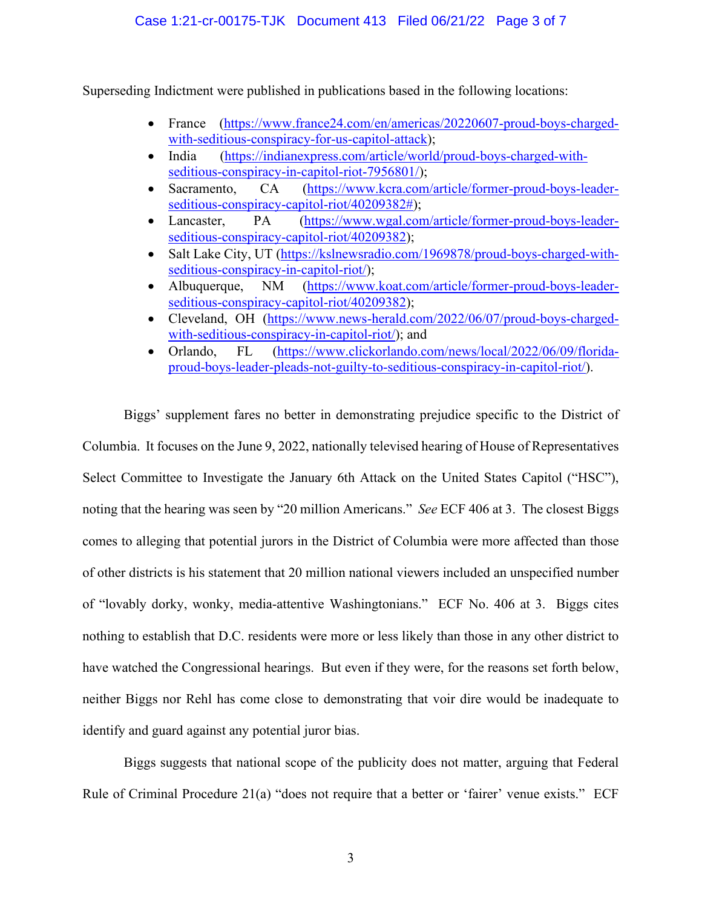Superseding Indictment were published in publications based in the following locations:

- France [\(https://www.france24.com/en/americas/20220607-proud-boys-charged](https://www.france24.com/en/americas/20220607-proud-boys-charged-with-seditious-conspiracy-for-us-capitol-attack)[with-seditious-conspiracy-for-us-capitol-attack\)](https://www.france24.com/en/americas/20220607-proud-boys-charged-with-seditious-conspiracy-for-us-capitol-attack);
- India [\(https://indianexpress.com/article/world/proud-boys-charged-with](https://indianexpress.com/article/world/proud-boys-charged-with-seditious-conspiracy-in-capitol-riot-7956801/)[seditious-conspiracy-in-capitol-riot-7956801/\)](https://indianexpress.com/article/world/proud-boys-charged-with-seditious-conspiracy-in-capitol-riot-7956801/);
- Sacramento, CA [\(https://www.kcra.com/article/former-proud-boys-leader](https://www.kcra.com/article/former-proud-boys-leader-seditious-conspiracy-capitol-riot/40209382)[seditious-conspiracy-capitol-riot/40209382#\)](https://www.kcra.com/article/former-proud-boys-leader-seditious-conspiracy-capitol-riot/40209382);
- Lancaster, PA [\(https://www.wgal.com/article/former-proud-boys-leader](https://www.wgal.com/article/former-proud-boys-leader-seditious-conspiracy-capitol-riot/40209382)[seditious-conspiracy-capitol-riot/40209382\)](https://www.wgal.com/article/former-proud-boys-leader-seditious-conspiracy-capitol-riot/40209382);
- Salt Lake City, UT [\(https://kslnewsradio.com/1969878/proud-boys-charged-with](https://kslnewsradio.com/1969878/proud-boys-charged-with-seditious-conspiracy-in-capitol-riot/)[seditious-conspiracy-in-capitol-riot/\)](https://kslnewsradio.com/1969878/proud-boys-charged-with-seditious-conspiracy-in-capitol-riot/);
- Albuquerque, NM [\(https://www.koat.com/article/former-proud-boys-leader](https://www.koat.com/article/former-proud-boys-leader-seditious-conspiracy-capitol-riot/40209382)[seditious-conspiracy-capitol-riot/40209382\)](https://www.koat.com/article/former-proud-boys-leader-seditious-conspiracy-capitol-riot/40209382);
- Cleveland, OH [\(https://www.news-herald.com/2022/06/07/proud-boys-charged](https://www.news-herald.com/2022/06/07/proud-boys-charged-with-seditious-conspiracy-in-capitol-riot/)[with-seditious-conspiracy-in-capitol-riot/\)](https://www.news-herald.com/2022/06/07/proud-boys-charged-with-seditious-conspiracy-in-capitol-riot/); and
- Orlando, FL [\(https://www.clickorlando.com/news/local/2022/06/09/florida](https://www.clickorlando.com/news/local/2022/06/09/florida-proud-boys-leader-pleads-not-guilty-to-seditious-conspiracy-in-capitol-riot/)[proud-boys-leader-pleads-not-guilty-to-seditious-conspiracy-in-capitol-riot/\)](https://www.clickorlando.com/news/local/2022/06/09/florida-proud-boys-leader-pleads-not-guilty-to-seditious-conspiracy-in-capitol-riot/).

Biggs' supplement fares no better in demonstrating prejudice specific to the District of Columbia. It focuses on the June 9, 2022, nationally televised hearing of House of Representatives Select Committee to Investigate the January 6th Attack on the United States Capitol ("HSC"), noting that the hearing was seen by "20 million Americans." *See* ECF 406 at 3. The closest Biggs comes to alleging that potential jurors in the District of Columbia were more affected than those of other districts is his statement that 20 million national viewers included an unspecified number of "lovably dorky, wonky, media-attentive Washingtonians." ECF No. 406 at 3. Biggs cites nothing to establish that D.C. residents were more or less likely than those in any other district to have watched the Congressional hearings. But even if they were, for the reasons set forth below, neither Biggs nor Rehl has come close to demonstrating that voir dire would be inadequate to identify and guard against any potential juror bias.

Biggs suggests that national scope of the publicity does not matter, arguing that Federal Rule of Criminal Procedure 21(a) "does not require that a better or 'fairer' venue exists." ECF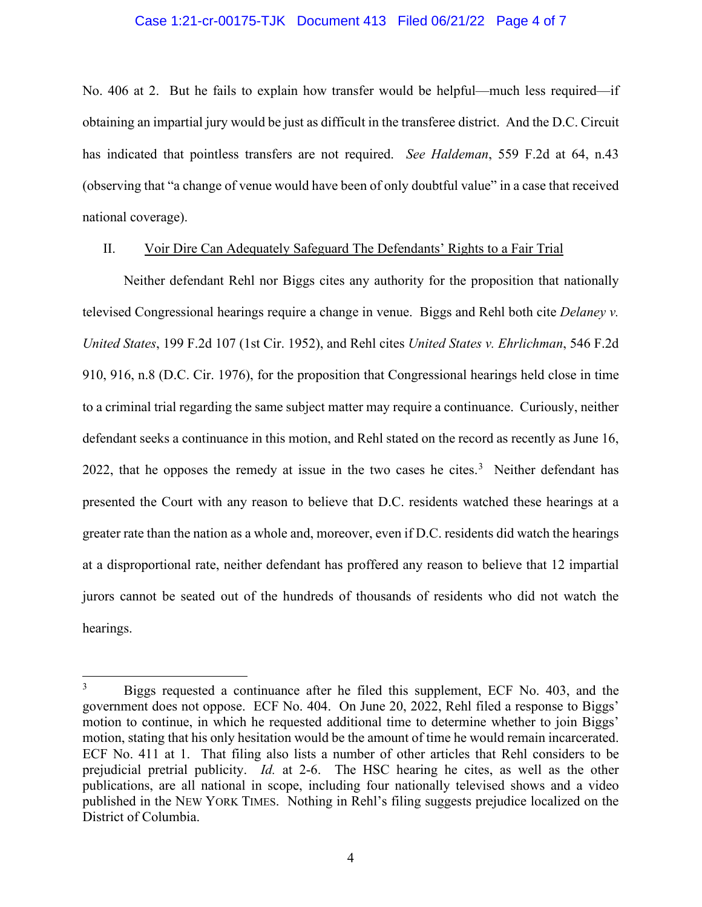## Case 1:21-cr-00175-TJK Document 413 Filed 06/21/22 Page 4 of 7

No. 406 at 2. But he fails to explain how transfer would be helpful—much less required—if obtaining an impartial jury would be just as difficult in the transferee district. And the D.C. Circuit has indicated that pointless transfers are not required. *See Haldeman*, 559 F.2d at 64, n.43 (observing that "a change of venue would have been of only doubtful value" in a case that received national coverage).

## II. Voir Dire Can Adequately Safeguard The Defendants' Rights to a Fair Trial

Neither defendant Rehl nor Biggs cites any authority for the proposition that nationally televised Congressional hearings require a change in venue. Biggs and Rehl both cite *Delaney v. United States*, 199 F.2d 107 (1st Cir. 1952), and Rehl cites *United States v. Ehrlichman*, 546 F.2d 910, 916, n.8 (D.C. Cir. 1976), for the proposition that Congressional hearings held close in time to a criminal trial regarding the same subject matter may require a continuance. Curiously, neither defendant seeks a continuance in this motion, and Rehl stated on the record as recently as June 16, 2022, that he opposes the remedy at issue in the two cases he cites. $3$  Neither defendant has presented the Court with any reason to believe that D.C. residents watched these hearings at a greater rate than the nation as a whole and, moreover, even if D.C. residents did watch the hearings at a disproportional rate, neither defendant has proffered any reason to believe that 12 impartial jurors cannot be seated out of the hundreds of thousands of residents who did not watch the hearings.

<span id="page-3-0"></span><sup>3</sup> Biggs requested a continuance after he filed this supplement, ECF No. 403, and the government does not oppose. ECF No. 404. On June 20, 2022, Rehl filed a response to Biggs' motion to continue, in which he requested additional time to determine whether to join Biggs' motion, stating that his only hesitation would be the amount of time he would remain incarcerated. ECF No. 411 at 1. That filing also lists a number of other articles that Rehl considers to be prejudicial pretrial publicity. *Id.* at 2-6. The HSC hearing he cites, as well as the other publications, are all national in scope, including four nationally televised shows and a video published in the NEW YORK TIMES. Nothing in Rehl's filing suggests prejudice localized on the District of Columbia.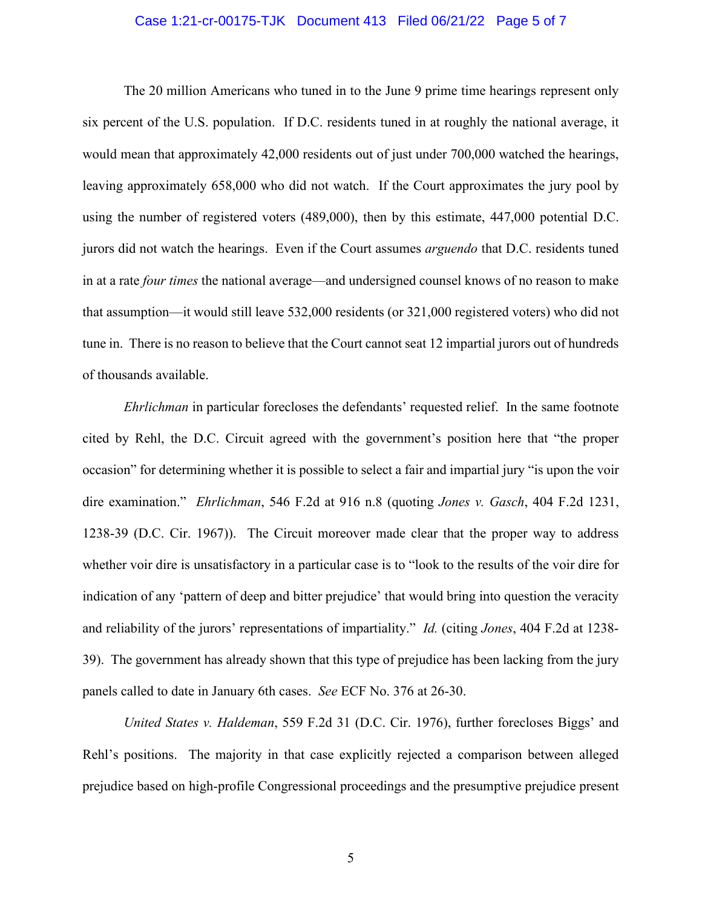#### Case 1:21-cr-00175-TJK Document 413 Filed 06/21/22 Page 5 of 7

The 20 million Americans who tuned in to the June 9 prime time hearings represent only six percent of the U.S. population. If D.C. residents tuned in at roughly the national average, it would mean that approximately 42,000 residents out of just under 700,000 watched the hearings, leaving approximately 658,000 who did not watch. If the Court approximates the jury pool by using the number of registered voters (489,000), then by this estimate, 447,000 potential D.C. jurors did not watch the hearings. Even if the Court assumes *arguendo* that D.C. residents tuned in at a rate *four times* the national average—and undersigned counsel knows of no reason to make that assumption—it would still leave 532,000 residents (or 321,000 registered voters) who did not tune in. There is no reason to believe that the Court cannot seat 12 impartial jurors out of hundreds of thousands available.

*Ehrlichman* in particular forecloses the defendants' requested relief. In the same footnote cited by Rehl, the D.C. Circuit agreed with the government's position here that "the proper occasion" for determining whether it is possible to select a fair and impartial jury "is upon the voir dire examination." *Ehrlichman*, 546 F.2d at 916 n.8 (quoting *Jones v. Gasch*, 404 F.2d 1231, 1238-39 (D.C. Cir. 1967)). The Circuit moreover made clear that the proper way to address whether voir dire is unsatisfactory in a particular case is to "look to the results of the voir dire for indication of any 'pattern of deep and bitter prejudice' that would bring into question the veracity and reliability of the jurors' representations of impartiality." *Id.* (citing *Jones*, 404 F.2d at 1238- 39). The government has already shown that this type of prejudice has been lacking from the jury panels called to date in January 6th cases. *See* ECF No. 376 at 26-30.

*United States v. Haldeman*, 559 F.2d 31 (D.C. Cir. 1976), further forecloses Biggs' and Rehl's positions. The majority in that case explicitly rejected a comparison between alleged prejudice based on high-profile Congressional proceedings and the presumptive prejudice present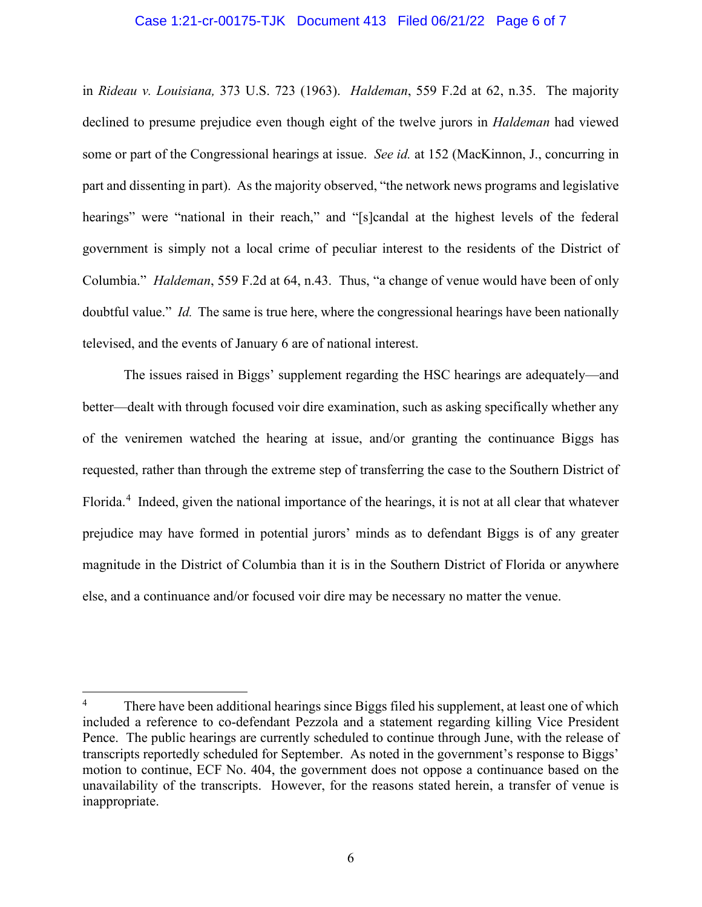#### Case 1:21-cr-00175-TJK Document 413 Filed 06/21/22 Page 6 of 7

in *Rideau v. Louisiana,* 373 U.S. 723 (1963). *Haldeman*, 559 F.2d at 62, n.35. The majority declined to presume prejudice even though eight of the twelve jurors in *Haldeman* had viewed some or part of the Congressional hearings at issue. *See id.* at 152 (MacKinnon, J., concurring in part and dissenting in part). As the majority observed, "the network news programs and legislative hearings" were "national in their reach," and "[s]candal at the highest levels of the federal government is simply not a local crime of peculiar interest to the residents of the District of Columbia." *Haldeman*, 559 F.2d at 64, n.43. Thus, "a change of venue would have been of only doubtful value." *Id.* The same is true here, where the congressional hearings have been nationally televised, and the events of January 6 are of national interest.

The issues raised in Biggs' supplement regarding the HSC hearings are adequately—and better—dealt with through focused voir dire examination, such as asking specifically whether any of the veniremen watched the hearing at issue, and/or granting the continuance Biggs has requested, rather than through the extreme step of transferring the case to the Southern District of Florida.<sup>[4](#page-5-0)</sup> Indeed, given the national importance of the hearings, it is not at all clear that whatever prejudice may have formed in potential jurors' minds as to defendant Biggs is of any greater magnitude in the District of Columbia than it is in the Southern District of Florida or anywhere else, and a continuance and/or focused voir dire may be necessary no matter the venue.

<span id="page-5-0"></span><sup>&</sup>lt;sup>4</sup> There have been additional hearings since Biggs filed his supplement, at least one of which included a reference to co-defendant Pezzola and a statement regarding killing Vice President Pence. The public hearings are currently scheduled to continue through June, with the release of transcripts reportedly scheduled for September. As noted in the government's response to Biggs' motion to continue, ECF No. 404, the government does not oppose a continuance based on the unavailability of the transcripts. However, for the reasons stated herein, a transfer of venue is inappropriate.